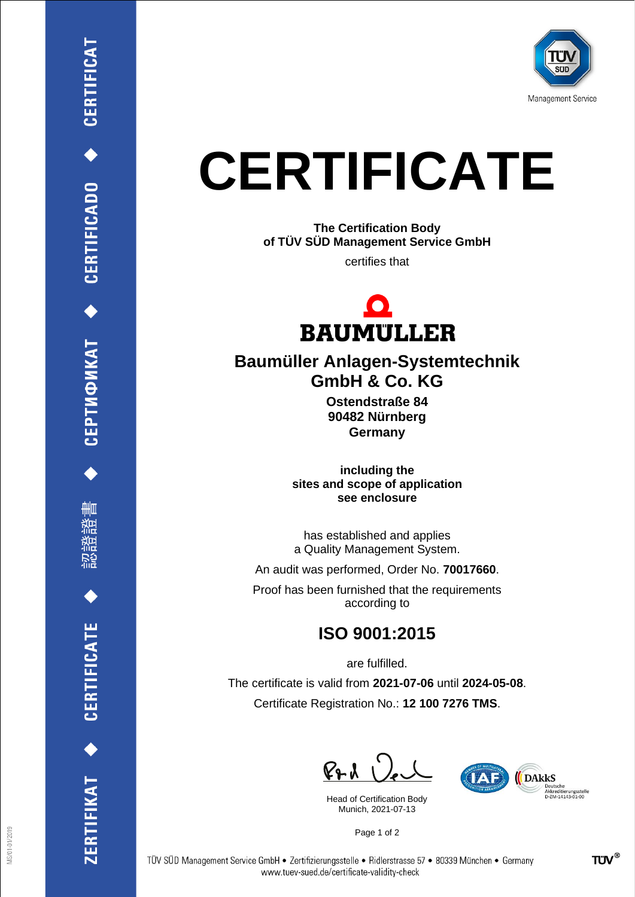

## **CERTIFICATE**

**The Certification Body of TÜV SÜD Management Service GmbH**

certifies that



## **Baumüller Anlagen-Systemtechnik GmbH & Co. KG**

**Ostendstraße 84 90482 Nürnberg Germany**

**including the sites and scope of application see enclosure**

has established and applies a Quality Management System.

An audit was performed, Order No. **70017660**.

Proof has been furnished that the requirements according to

## **ISO 9001:2015**

are fulfilled.

The certificate is valid from **2021-07-06** until **2024-05-08**. Certificate Registration No.: **12 100 7276 TMS**.

 $PAU$ 

Head of Certification Body Munich, 2021-07-13



Page 1 of 2